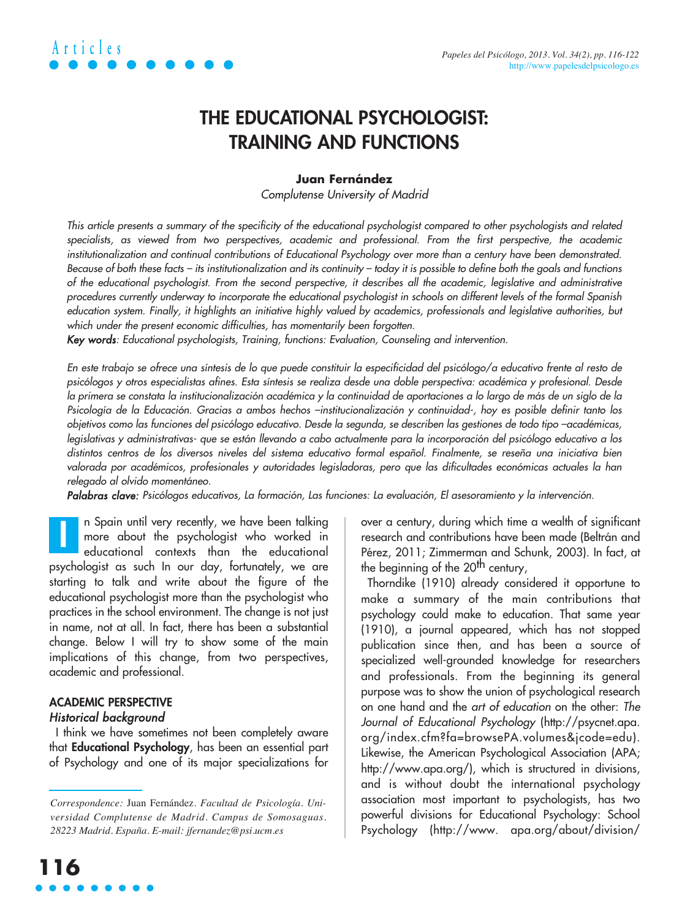## **THE EDUCATIONAL PSYCHOLOGIST: TRAINING AND FUNCTIONS**

#### **Juan Fernández**

Complutense University of Madrid

This article presents a summary of the specificity of the educational psychologist compared to other psychologists and related specialists, as viewed from two perspectives, academic and professional. From the first perspective, the academic institutionalization and continual contributions of Educational Psychology over more than a century have been demonstrated. Because of both these facts – its institutionalization and its continuity – today it is possible to define both the goals and functions of the educational psychologist. From the second perspective, it describes all the academic, legislative and administrative procedures currently underway to incorporate the educational psychologist in schools on different levels of the formal Spanish education system. Finally, it highlights an initiative highly valued by academics, professionals and legislative authorities, but which under the present economic difficulties, has momentarily been forgotten.

Key words: Educational psychologists, Training, functions: Evaluation, Counseling and intervention.

En este trabajo se ofrece una síntesis de lo que puede constituir la especificidad del psicólogo/a educativo frente al resto de psicólogos y otros especialistas afines. Esta síntesis se realiza desde una doble perspectiva: académica y profesional. Desde la primera se constata la institucionalización académica y la continuidad de aportaciones a lo largo de más de un siglo de la Psicología de la Educación. Gracias a ambos hechos –institucionalización y continuidad-, hoy es posible definir tanto los objetivos como las funciones del psicólogo educativo. Desde la segunda, se describen las gestiones de todo tipo –académicas, legislativas y administrativas- que se están llevando a cabo actualmente para la incorporación del psicólogo educativo a los distintos centros de los diversos niveles del sistema educativo formal español. Finalmente, se reseña una iniciativa bien valorada por académicos, profesionales y autoridades legisladoras, pero que las dificultades económicas actuales la han relegado al olvido momentáneo.

Palabras clave: Psicólogos educativos, La formación, Las funciones: La evaluación, El asesoramiento y la intervención.

n Spain until very recently, we have been talking more about the psychologist who worked in educational contexts than the educational psychologist as such In our day, fortunately, we are starting to talk and write about the figure of the educational psychologist more than the psychologist who practices in the school environment. The change is not just in name, not at all. In fact, there has been a substantial change. Below I will try to show some of the main implications of this change, from two perspectives, academic and professional. **I**

### **ACADEMIC PERSPECTIVE** Historical background

I think we have sometimes not been completely aware that **Educational Psychology**, has been an essential part of Psychology and one of its major specializations for over a century, during which time a wealth of significant research and contributions have been made (Beltrán and Pérez, 2011; Zimmerman and Schunk, 2003). In fact, at the beginning of the 20<sup>th</sup> century,

Thorndike (1910) already considered it opportune to make a summary of the main contributions that psychology could make to education. That same year (1910), a journal appeared, which has not stopped publication since then, and has been a source of specialized well-grounded knowledge for researchers and professionals. From the beginning its general purpose was to show the union of psychological research on one hand and the art of education on the other: The Journal of Educational Psychology (http://psycnet.apa. org/index.cfm?fa=browsePA.volumes&jcode=edu). Likewise, the American Psychological Association (APA; http://www.apa.org/), which is structured in divisions, and is without doubt the international psychology association most important to psychologists, has two powerful divisions for Educational Psychology: School Psychology (http://www. apa.org/about/division/

*Correspondence:* Juan Fernández. *Facultad de Psicología. Universidad Complutense de Madrid. Campus de Somosaguas. 28223 Madrid. España. E-mail: jfernandez@psi.ucm.es*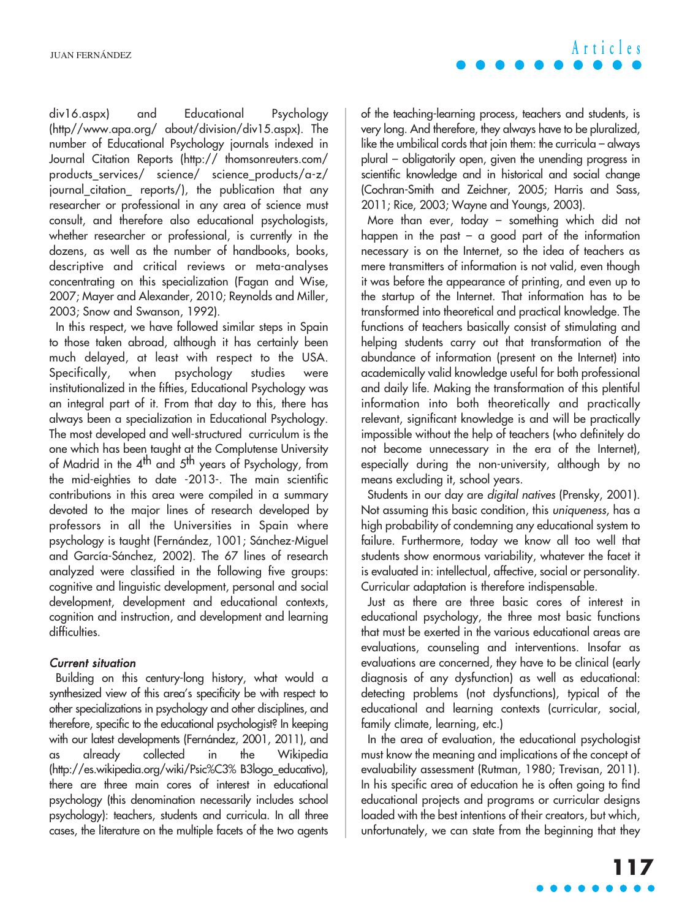**Articles**

div16.aspx) and Educational Psychology (http//www.apa.org/ about/division/div15.aspx). The number of Educational Psychology journals indexed in Journal Citation Reports (http:// thomsonreuters.com/ products\_services/ science/ science\_products/a-z/ journal\_citation\_ reports/), the publication that any researcher or professional in any area of science must consult, and therefore also educational psychologists, whether researcher or professional, is currently in the dozens, as well as the number of handbooks, books, descriptive and critical reviews or meta-analyses concentrating on this specialization (Fagan and Wise, 2007; Mayer and Alexander, 2010; Reynolds and Miller, 2003; Snow and Swanson, 1992).

In this respect, we have followed similar steps in Spain to those taken abroad, although it has certainly been much delayed, at least with respect to the USA. Specifically, when psychology studies were institutionalized in the fifties, Educational Psychology was an integral part of it. From that day to this, there has always been a specialization in Educational Psychology. The most developed and well-structured curriculum is the one which has been taught at the Complutense University of Madrid in the  $4^{\text{th}}$  and  $5^{\text{th}}$  years of Psychology, from the mid-eighties to date -2013-. The main scientific contributions in this area were compiled in a summary devoted to the major lines of research developed by professors in all the Universities in Spain where psychology is taught (Fernández, 1001; Sánchez-Miguel and García-Sánchez, 2002). The 67 lines of research analyzed were classified in the following five groups: cognitive and linguistic development, personal and social development, development and educational contexts, cognition and instruction, and development and learning difficulties.

### Current situation

Building on this century-long history, what would a synthesized view of this area's specificity be with respect to other specializations in psychology and other disciplines, and therefore, specific to the educational psychologist? In keeping with our latest developments (Fernández, 2001, 2011), and as already collected in the Wikipedia (http://es.wikipedia.org/wiki/Psic%C3% B3logo\_educativo), there are three main cores of interest in educational psychology (this denomination necessarily includes school psychology): teachers, students and curricula. In all three cases, the literature on the multiple facets of the two agents

of the teaching-learning process, teachers and students, is very long. And therefore, they always have to be pluralized, like the umbilical cords that join them: the curricula – always plural – obligatorily open, given the unending progress in scientific knowledge and in historical and social change (Cochran-Smith and Zeichner, 2005; Harris and Sass, 2011; Rice, 2003; Wayne and Youngs, 2003).

More than ever, today – something which did not happen in the past – a good part of the information necessary is on the Internet, so the idea of teachers as mere transmitters of information is not valid, even though it was before the appearance of printing, and even up to the startup of the Internet. That information has to be transformed into theoretical and practical knowledge. The functions of teachers basically consist of stimulating and helping students carry out that transformation of the abundance of information (present on the Internet) into academically valid knowledge useful for both professional and daily life. Making the transformation of this plentiful information into both theoretically and practically relevant, significant knowledge is and will be practically impossible without the help of teachers (who definitely do not become unnecessary in the era of the Internet), especially during the non-university, although by no means excluding it, school years.

Students in our day are digital natives (Prensky, 2001). Not assuming this basic condition, this uniqueness, has a high probability of condemning any educational system to failure. Furthermore, today we know all too well that students show enormous variability, whatever the facet it is evaluated in: intellectual, affective, social or personality. Curricular adaptation is therefore indispensable.

Just as there are three basic cores of interest in educational psychology, the three most basic functions that must be exerted in the various educational areas are evaluations, counseling and interventions. Insofar as evaluations are concerned, they have to be clinical (early diagnosis of any dysfunction) as well as educational: detecting problems (not dysfunctions), typical of the educational and learning contexts (curricular, social, family climate, learning, etc.)

In the area of evaluation, the educational psychologist must know the meaning and implications of the concept of evaluability assessment (Rutman, 1980; Trevisan, 2011). In his specific area of education he is often going to find educational projects and programs or curricular designs loaded with the best intentions of their creators, but which, unfortunately, we can state from the beginning that they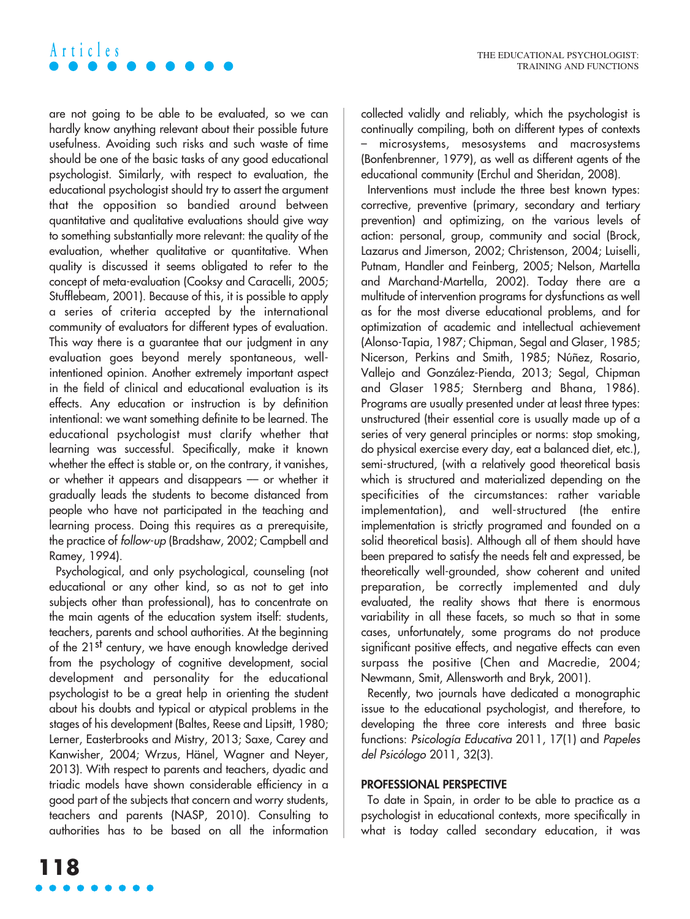# **Articles**

are not going to be able to be evaluated, so we can hardly know anything relevant about their possible future usefulness. Avoiding such risks and such waste of time should be one of the basic tasks of any good educational psychologist. Similarly, with respect to evaluation, the educational psychologist should try to assert the argument that the opposition so bandied around between quantitative and qualitative evaluations should give way to something substantially more relevant: the quality of the evaluation, whether qualitative or quantitative. When quality is discussed it seems obligated to refer to the concept of meta-evaluation (Cooksy and Caracelli, 2005; Stufflebeam, 2001). Because of this, it is possible to apply a series of criteria accepted by the international community of evaluators for different types of evaluation. This way there is a guarantee that our judgment in any evaluation goes beyond merely spontaneous, wellintentioned opinion. Another extremely important aspect in the field of clinical and educational evaluation is its effects. Any education or instruction is by definition intentional: we want something definite to be learned. The educational psychologist must clarify whether that learning was successful. Specifically, make it known whether the effect is stable or, on the contrary, it vanishes, or whether it appears and disappears –– or whether it gradually leads the students to become distanced from people who have not participated in the teaching and learning process. Doing this requires as a prerequisite, the practice of follow-up (Bradshaw, 2002; Campbell and Ramey, 1994).

Psychological, and only psychological, counseling (not educational or any other kind, so as not to get into subjects other than professional), has to concentrate on the main agents of the education system itself: students, teachers, parents and school authorities. At the beginning of the 21st century, we have enough knowledge derived from the psychology of cognitive development, social development and personality for the educational psychologist to be a great help in orienting the student about his doubts and typical or atypical problems in the stages of his development (Baltes, Reese and Lipsitt, 1980; Lerner, Easterbrooks and Mistry, 2013; Saxe, Carey and Kanwisher, 2004; Wrzus, Hänel, Wagner and Neyer, 2013). With respect to parents and teachers, dyadic and triadic models have shown considerable efficiency in a good part of the subjects that concern and worry students, teachers and parents (NASP, 2010). Consulting to authorities has to be based on all the information

collected validly and reliably, which the psychologist is continually compiling, both on different types of contexts – microsystems, mesosystems and macrosystems (Bonfenbrenner, 1979), as well as different agents of the educational community (Erchul and Sheridan, 2008).

Interventions must include the three best known types: corrective, preventive (primary, secondary and tertiary prevention) and optimizing, on the various levels of action: personal, group, community and social (Brock, Lazarus and Jimerson, 2002; Christenson, 2004; Luiselli, Putnam, Handler and Feinberg, 2005; Nelson, Martella and Marchand-Martella, 2002). Today there are a multitude of intervention programs for dysfunctions as well as for the most diverse educational problems, and for optimization of academic and intellectual achievement (Alonso-Tapia, 1987; Chipman, Segal and Glaser, 1985; Nicerson, Perkins and Smith, 1985; Núñez, Rosario, Vallejo and González-Pienda, 2013; Segal, Chipman and Glaser 1985; Sternberg and Bhana, 1986). Programs are usually presented under at least three types: unstructured (their essential core is usually made up of a series of very general principles or norms: stop smoking, do physical exercise every day, eat a balanced diet, etc.), semi-structured, (with a relatively good theoretical basis which is structured and materialized depending on the specificities of the circumstances: rather variable implementation), and well-structured (the entire implementation is strictly programed and founded on a solid theoretical basis). Although all of them should have been prepared to satisfy the needs felt and expressed, be theoretically well-grounded, show coherent and united preparation, be correctly implemented and duly evaluated, the reality shows that there is enormous variability in all these facets, so much so that in some cases, unfortunately, some programs do not produce significant positive effects, and negative effects can even surpass the positive (Chen and Macredie, 2004; Newmann, Smit, Allensworth and Bryk, 2001).

Recently, two journals have dedicated a monographic issue to the educational psychologist, and therefore, to developing the three core interests and three basic functions: Psicología Educativa 2011, 17(1) and Papeles del Psicólogo 2011, 32(3).

#### **PROFESSIONAL PERSPECTIVE**

To date in Spain, in order to be able to practice as a psychologist in educational contexts, more specifically in what is today called secondary education, it was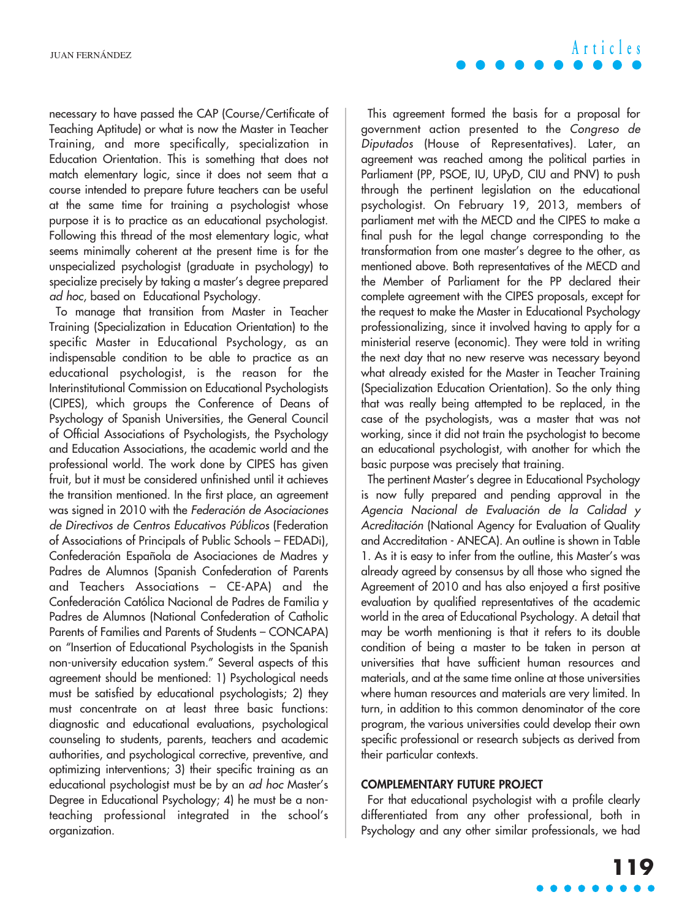necessary to have passed the CAP (Course/Certificate of Teaching Aptitude) or what is now the Master in Teacher Training, and more specifically, specialization in Education Orientation. This is something that does not match elementary logic, since it does not seem that a course intended to prepare future teachers can be useful at the same time for training a psychologist whose purpose it is to practice as an educational psychologist. Following this thread of the most elementary logic, what seems minimally coherent at the present time is for the unspecialized psychologist (graduate in psychology) to specialize precisely by taking a master's degree prepared ad hoc, based on Educational Psychology.

To manage that transition from Master in Teacher Training (Specialization in Education Orientation) to the specific Master in Educational Psychology, as an indispensable condition to be able to practice as an educational psychologist, is the reason for the Interinstitutional Commission on Educational Psychologists (CIPES), which groups the Conference of Deans of Psychology of Spanish Universities, the General Council of Official Associations of Psychologists, the Psychology and Education Associations, the academic world and the professional world. The work done by CIPES has given fruit, but it must be considered unfinished until it achieves the transition mentioned. In the first place, an agreement was signed in 2010 with the Federación de Asociaciones de Directivos de Centros Educativos Públicos (Federation of Associations of Principals of Public Schools – FEDADi), Confederación Española de Asociaciones de Madres y Padres de Alumnos (Spanish Confederation of Parents and Teachers Associations – CE-APA) and the Confederación Católica Nacional de Padres de Familia y Padres de Alumnos (National Confederation of Catholic Parents of Families and Parents of Students – CONCAPA) on "Insertion of Educational Psychologists in the Spanish non-university education system." Several aspects of this agreement should be mentioned: 1) Psychological needs must be satisfied by educational psychologists; 2) they must concentrate on at least three basic functions: diagnostic and educational evaluations, psychological counseling to students, parents, teachers and academic authorities, and psychological corrective, preventive, and optimizing interventions; 3) their specific training as an educational psychologist must be by an ad hoc Master's Degree in Educational Psychology; 4) he must be a nonteaching professional integrated in the school's organization.

This agreement formed the basis for a proposal for government action presented to the Congreso de Diputados (House of Representatives). Later, an agreement was reached among the political parties in Parliament (PP, PSOE, IU, UPyD, CIU and PNV) to push through the pertinent legislation on the educational psychologist. On February 19, 2013, members of parliament met with the MECD and the CIPES to make a final push for the legal change corresponding to the transformation from one master's degree to the other, as mentioned above. Both representatives of the MECD and the Member of Parliament for the PP declared their complete agreement with the CIPES proposals, except for the request to make the Master in Educational Psychology professionalizing, since it involved having to apply for a ministerial reserve (economic). They were told in writing the next day that no new reserve was necessary beyond what already existed for the Master in Teacher Training (Specialization Education Orientation). So the only thing that was really being attempted to be replaced, in the case of the psychologists, was a master that was not working, since it did not train the psychologist to become an educational psychologist, with another for which the basic purpose was precisely that training.

The pertinent Master's degree in Educational Psychology is now fully prepared and pending approval in the Agencia Nacional de Evaluación de la Calidad y Acreditación (National Agency for Evaluation of Quality and Accreditation - ANECA). An outline is shown in Table 1. As it is easy to infer from the outline, this Master's was already agreed by consensus by all those who signed the Agreement of 2010 and has also enjoyed a first positive evaluation by qualified representatives of the academic world in the area of Educational Psychology. A detail that may be worth mentioning is that it refers to its double condition of being a master to be taken in person at universities that have sufficient human resources and materials, and at the same time online at those universities where human resources and materials are very limited. In turn, in addition to this common denominator of the core program, the various universities could develop their own specific professional or research subjects as derived from their particular contexts.

#### **COMPLEMENTARY FUTURE PROJECT**

For that educational psychologist with a profile clearly differentiated from any other professional, both in Psychology and any other similar professionals, we had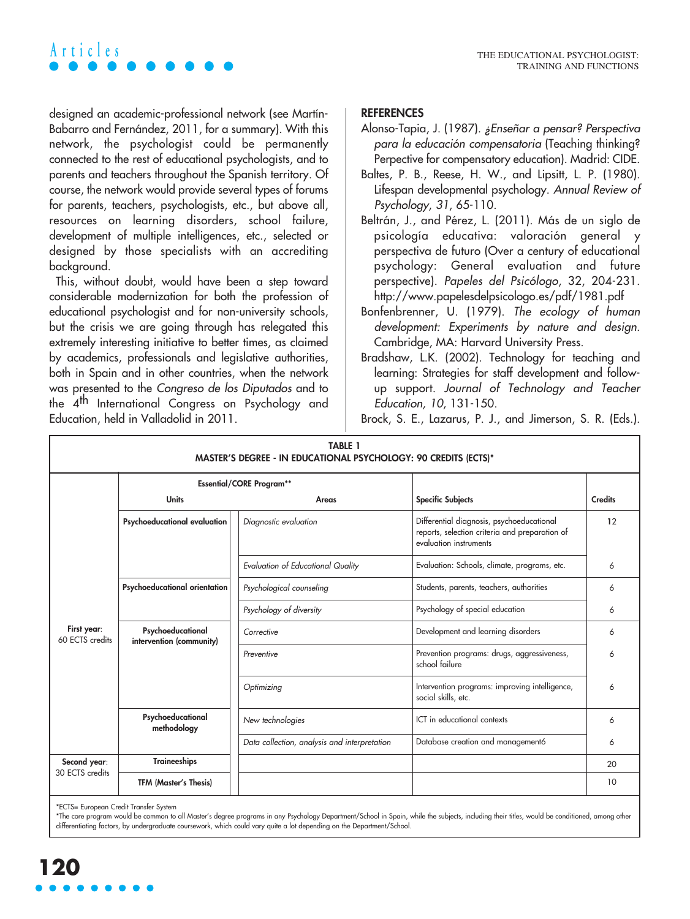# A r t i c l e s<br>THE EDUCATIONAL PSYCHOLOGIST:

designed an academic-professional network (see Martín-Babarro and Fernández, 2011, for a summary). With this network, the psychologist could be permanently connected to the rest of educational psychologists, and to parents and teachers throughout the Spanish territory. Of course, the network would provide several types of forums for parents, teachers, psychologists, etc., but above all, resources on learning disorders, school failure, development of multiple intelligences, etc., selected or designed by those specialists with an accrediting background.

This, without doubt, would have been a step toward considerable modernization for both the profession of educational psychologist and for non-university schools, but the crisis we are going through has relegated this extremely interesting initiative to better times, as claimed by academics, professionals and legislative authorities, both in Spain and in other countries, when the network was presented to the Congreso de los Diputados and to the 4<sup>th</sup> International Congress on Psychology and Education, held in Valladolid in 2011.

### **REFERENCES**

- Alonso-Tapia, J. (1987). ¿Enseñar a pensar? Perspectiva para la educación compensatoria (Teaching thinking? Perpective for compensatory education). Madrid: CIDE.
- Baltes, P. B., Reese, H. W., and Lipsitt, L. P. (1980). Lifespan developmental psychology. Annual Review of Psychology, 31, 65-110.
- Beltrán, J., and Pérez, L. (2011). Más de un siglo de psicología educativa: valoración general y perspectiva de futuro (Over a century of educational psychology: General evaluation and future perspective). Papeles del Psicólogo, 32, 204-231. http://www.papelesdelpsicologo.es/pdf/1981.pdf
- Bonfenbrenner, U. (1979). The ecology of human development: Experiments by nature and design. Cambridge, MA: Harvard University Press.
- Bradshaw, L.K. (2002). Technology for teaching and learning: Strategies for staff development and followup support. Journal of Technology and Teacher Education, 10, 131-150.

Brock, S. E., Lazarus, P. J., and Jimerson, S. R. (Eds.).

| <b>TABLE 1</b><br>MASTER'S DEGREE - IN EDUCATIONAL PSYCHOLOGY: 90 CREDITS (ECTS)* |                                               |                                              |                                                                                                                       |                |
|-----------------------------------------------------------------------------------|-----------------------------------------------|----------------------------------------------|-----------------------------------------------------------------------------------------------------------------------|----------------|
|                                                                                   | <b>Essential/CORE Program**</b>               |                                              |                                                                                                                       |                |
|                                                                                   | <b>Units</b>                                  | Areas                                        | <b>Specific Subjects</b>                                                                                              | <b>Credits</b> |
| First year:<br>60 ECTS credits                                                    | Psychoeducational evaluation                  | Diagnostic evaluation                        | Differential diagnosis, psychoeducational<br>reports, selection criteria and preparation of<br>evaluation instruments | 12             |
|                                                                                   |                                               | <b>Evaluation of Educational Quality</b>     | Evaluation: Schools, climate, programs, etc.                                                                          | 6              |
|                                                                                   | Psychoeducational orientation                 | Psychological counseling                     | Students, parents, teachers, authorities                                                                              | 6              |
|                                                                                   |                                               | Psychology of diversity                      | Psychology of special education                                                                                       | 6              |
|                                                                                   | Psychoeducational<br>intervention (community) | Corrective                                   | Development and learning disorders                                                                                    | 6              |
|                                                                                   |                                               | Preventive                                   | Prevention programs: drugs, aggressiveness,<br>school failure                                                         | 6              |
|                                                                                   |                                               | Optimizing                                   | Intervention programs: improving intelligence,<br>social skills, etc.                                                 | 6              |
|                                                                                   | Psychoeducational<br>methodology              | New technologies                             | ICT in educational contexts                                                                                           | 6              |
|                                                                                   |                                               | Data collection, analysis and interpretation | Database creation and management6                                                                                     | 6              |
| Second year:<br>30 ECTS credits                                                   | <b>Traineeships</b>                           |                                              |                                                                                                                       | 20             |
|                                                                                   | <b>TFM (Master's Thesis)</b>                  |                                              |                                                                                                                       | 10             |

\*ECTS= European Credit Transfer System

\*The core program would be common to all Master's degree programs in any Psychology Department/School in Spain, while the subjects, including their titles, would be conditioned, among other differentiating factors, by undergraduate coursework, which could vary quite a lot depending on the Department/School.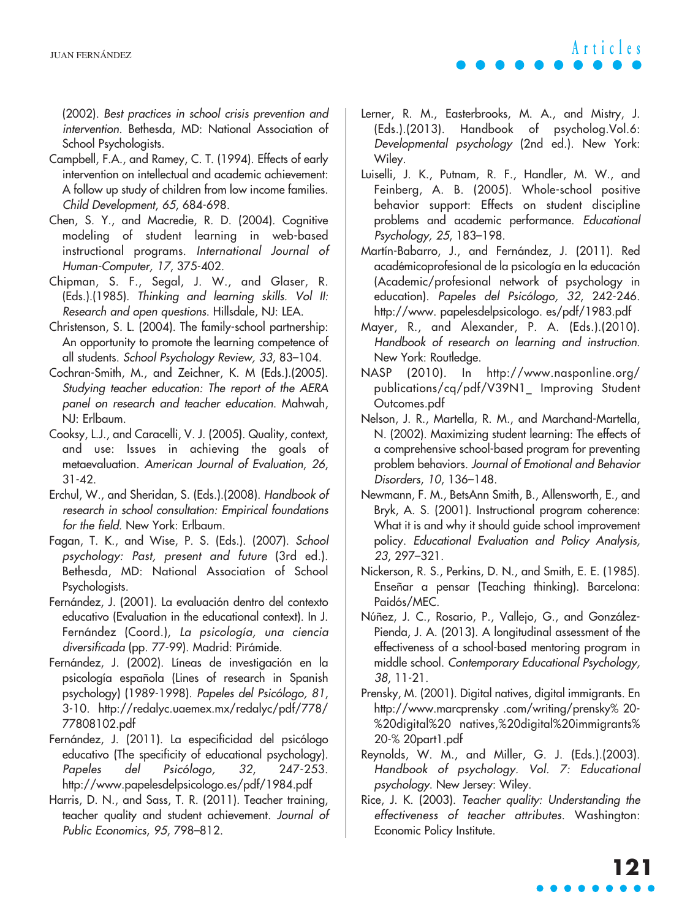**Articles**

(2002). Best practices in school crisis prevention and intervention. Bethesda, MD: National Association of School Psychologists.

- Campbell, F.A., and Ramey, C. T. (1994). Effects of early intervention on intellectual and academic achievement: A follow up study of children from low income families. Child Development, 65, 684-698.
- Chen, S. Y., and Macredie, R. D. (2004). Cognitive modeling of student learning in web-based instructional programs. International Journal of Human-Computer, 17, 375-402.
- Chipman, S. F., Segal, J. W., and Glaser, R. (Eds.).(1985). Thinking and learning skills. Vol II: Research and open questions. Hillsdale, NJ: LEA.
- Christenson, S. L. (2004). The family-school partnership: An opportunity to promote the learning competence of all students. School Psychology Review, 33, 83–104.
- Cochran-Smith, M., and Zeichner, K. M (Eds.).(2005). Studying teacher education: The report of the AERA panel on research and teacher education. Mahwah, NJ: Erlbaum.
- Cooksy, L.J., and Caracelli, V. J. (2005). Quality, context, and use: Issues in achieving the goals of metaevaluation. American Journal of Evaluation, 26, 31-42.
- Erchul, W., and Sheridan, S. (Eds.).(2008). Handbook of research in school consultation: Empirical foundations for the field. New York: Erlbaum.
- Fagan, T. K., and Wise, P. S. (Eds.). (2007). School psychology: Past, present and future (3rd ed.). Bethesda, MD: National Association of School Psychologists.
- Fernández, J. (2001). La evaluación dentro del contexto educativo (Evaluation in the educational context). In J. Fernández (Coord.), La psicología, una ciencia diversificada (pp. 77-99). Madrid: Pirámide.
- Fernández, J. (2002). Líneas de investigación en la psicología española (Lines of research in Spanish psychology) (1989-1998). Papeles del Psicólogo, <sup>81</sup>, 3-10. http://redalyc.uaemex.mx/redalyc/pdf/778/ 77808102.pdf
- Fernández, J. (2011). La especificidad del psicólogo educativo (The specificity of educational psychology). Papeles del Psicólogo, 32, 247-253. http://www.papelesdelpsicologo.es/pdf/1984.pdf
- Harris, D. N., and Sass, T. R. (2011). Teacher training, teacher quality and student achievement. Journal of Public Economics, 95, 798–812.
- Lerner, R. M., Easterbrooks, M. A., and Mistry, J. (Eds.).(2013). Handbook of psycholog.Vol.6: Developmental psychology (2nd ed.). New York: Wiley.
- Luiselli, J. K., Putnam, R. F., Handler, M. W., and Feinberg, A. B. (2005). Whole-school positive behavior support: Effects on student discipline problems and academic performance. Educational Psychology, 25, 183–198.
- Martín-Babarro, J., and Fernández, J. (2011). Red académicoprofesional de la psicología en la educación (Academic/profesional network of psychology in education). Papeles del Psicólogo, 32, 242-246. http://www. papelesdelpsicologo. es/pdf/1983.pdf
- Mayer, R., and Alexander, P. A. (Eds.).(2010). Handbook of research on learning and instruction. New York: Routledge.
- NASP (2010). In http://www.nasponline.org/ publications/cq/pdf/V39N1\_ Improving Student Outcomes.pdf
- Nelson, J. R., Martella, R. M., and Marchand-Martella, N. (2002). Maximizing student learning: The effects of a comprehensive school-based program for preventing problem behaviors. Journal of Emotional and Behavior Disorders, 10, 136–148.
- Newmann, F. M., BetsAnn Smith, B., Allensworth, E., and Bryk, A. S. (2001). Instructional program coherence: What it is and why it should guide school improvement policy. Educational Evaluation and Policy Analysis, 23, 297–321.
- Nickerson, R. S., Perkins, D. N., and Smith, E. E. (1985). Enseñar a pensar (Teaching thinking). Barcelona: Paidós/MEC.
- Núñez, J. C., Rosario, P., Vallejo, G., and González-Pienda, J. A. (2013). A longitudinal assessment of the effectiveness of a school-based mentoring program in middle school. Contemporary Educational Psychology, 38, 11-21.
- Prensky, M. (2001). Digital natives, digital immigrants. En http://www.marcprensky .com/writing/prensky% 20- %20digital%20 natives,%20digital%20immigrants% 20-% 20part1.pdf
- Reynolds, W. M., and Miller, G. J. (Eds.).(2003). Handbook of psychology. Vol. 7: Educational psychology. New Jersey: Wiley.
- Rice, J. K. (2003). Teacher quality: Understanding the effectiveness of teacher attributes. Washington: Economic Policy Institute.